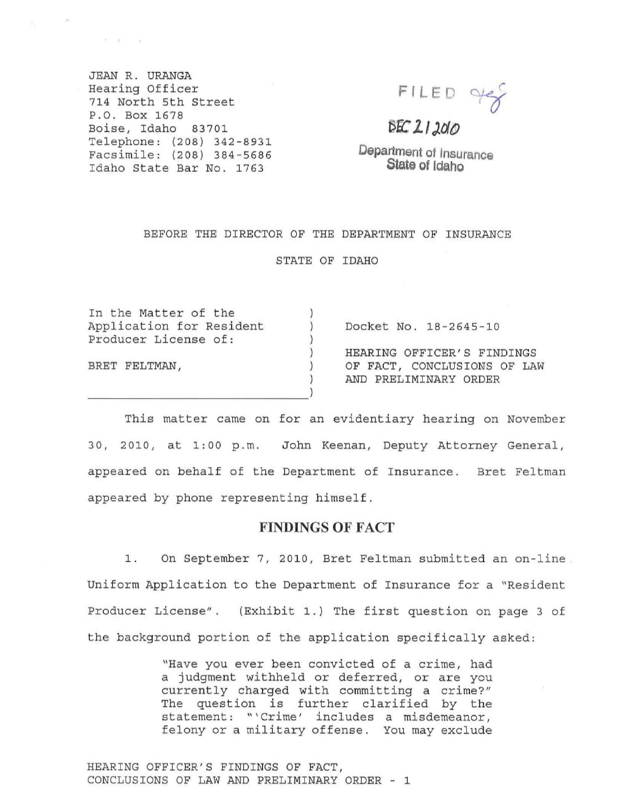JEAN R. URANGA Hearing Officer 714 North 5th Street P . O. Box 1678 Boise, Idaho 83701 Telephone: (208) 342-8931 Facsimile: (208) 384-5686 Idaho State Bar No. 1763

 $\mathcal{A} = -\langle \psi \rangle$  . The  $\mathcal{A}$ 

**FI LED** ~

 $BEZ12010$ 

**Department of Insurance Slate of Idaho** 

#### BEFORE THE DIRECTOR OF THE DEPARTMENT OF INSURANCE

STATE OF IDAHO

| In the Matter of the     |                             |
|--------------------------|-----------------------------|
| Application for Resident | Docket No. 18-2645-10       |
| Producer License of:     |                             |
|                          | HEARING OFFICER'S FINDINGS  |
| BRET FELTMAN,            | OF FACT, CONCLUSIONS OF LAW |
|                          | AND PRELIMINARY ORDER       |
|                          |                             |

This matter came on for an evidentiary hearing on November 30, 2010, at 1:00 p.m. John Keenan, Deputy At torney General, appeared on behalf of the Department of Insurance. Bret Feltman appeared by phone representing himself.

# **FINDINGS OF FACT**

1. On September 7, 2010, Bret Feltman submitted an on-line. Uniform Application to the Department of Insurance for a "Resident Producer License". (Exhibit 1.) The first question on page 3 of the background portion of the application specifically asked:

> "Have you ever been convicted of a crime, had a judgment withheld or deferred, or are you currently charged with committing a crime?" The question is further clarified by the statement: "'Crime' includes a misdemeanor, felony or a military offense. You may exclude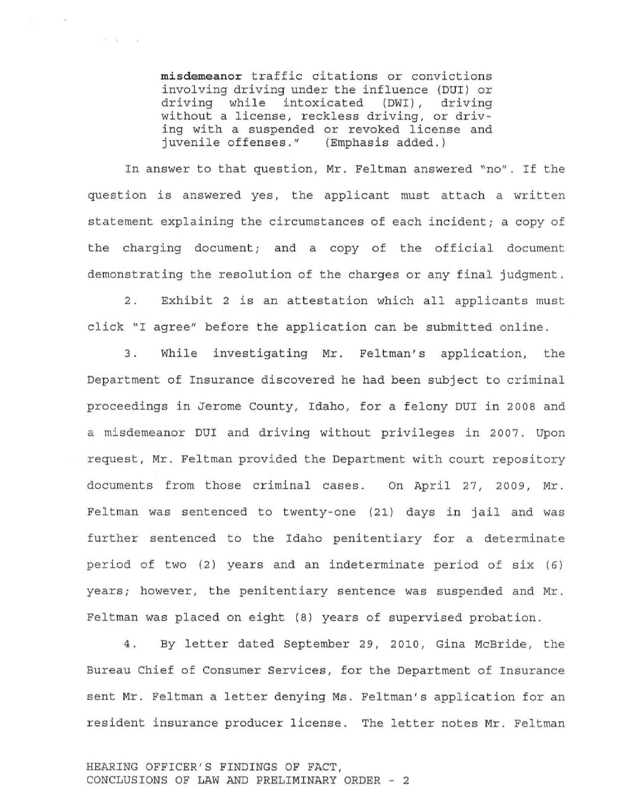misdemeanor traffic citations or convictions involving driving under the influence (DUI) or<br>driving while intoxicated (DWI), driving while intoxicated (DWI), driving without a license, reckless driving, or driving with a suspended or revoked license and juvenile offenses." (Emphasis added.)

 $\mathbb{R}^n \longrightarrow \mathbb{R}^n$  . In the  $\mathbb{R}^n$ 

In answer to that question, Mr. Feltman answered "no". If the question is answered yes, the applicant must attach a written statement explaining the circumstances of each incident; a copy of the charging document; and a copy of the official document demonstrating the resolution of the charges or any final judgment.

2. Exhibit 2 is an attestation which all applicants must click "I agree" before the application can be submitted online .

3. While investigating Mr. Feltman's application , the Department of Insurance discovered he had been subject to criminal proceedings in Jerome County, Idaho, for a felony DUI in 2008 and a misdemeanor DUI and driving without privileges in 2007. upon request, Mr. Feltman provided the Department with court repository documents from those criminal cases. On April 27, 2009, Mr. Feltman was sentenced to twenty-one (21) days in jail and was further sentenced to the Idaho penitentiary for a determinate period of two (2) years and an indeterminate period of six (6) years; however, the penitentiary sentence was suspended and Mr. Feltman was placed on eight (8) years of supervised probation.

4. By letter dated September 29, 2010, Gina McBride, the Bureau Chief of Consumer Services, for the Department of Insurance sent Mr. Feltman a letter denying Ms . Feltman's application for an resident insurance producer license. The letter notes Mr. Feltman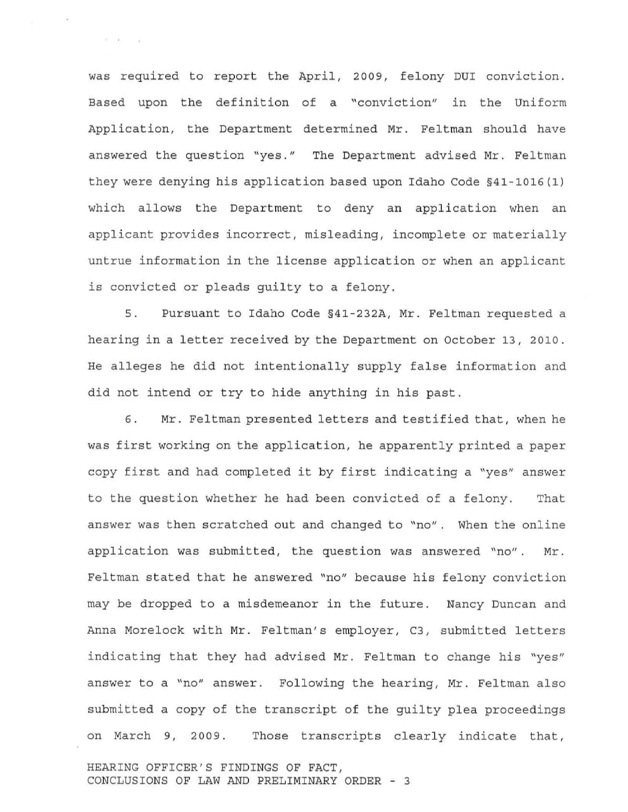was required to report the April, 2009, felony DUI conviction. Based upon the definition of a "conviction" in the Uniform Application, the Department determined Mr. Feltman should have answered the question "yes." The Department advised Mr. Feltman they were denying his application based upon Idaho Code §41-1016 (1) which allows the Department to deny an application when an applicant provides incorrect, misleading, incomplete or materially untrue information in the license application or when an applicant is convicted or pleads guilty to a felony.

 $\mathbb{R}=\{0, \ldots, n\}$  .

5 . Pursuant to Idaho Code §41-232A, Mr. Feltman requested a hearing in a letter received by the Department on October 13, 2010. He alleges he did not intentionally supply false information and did not intend or try to hide anything in his past.

6. Mr. Feltman presented letters and testified that, when he was first working on the application, he apparently printed a paper <sup>c</sup> opy first and had completed it by first indicating a "yes" answer to the question whether he had been convicted of a felony. That answer was then scratched out and changed to "no". When the online application was submitted, the question was answered "no". Mr . Feltman stated that he answered "no" because his felony conviction may be dropped to a misdemeanor in the future. Nancy Duncan and Anna Morelock with Mr. Feltman's employer, C3, submitted letters indicating that they had advised Mr. Feltman to change his "yes" answer to a "no" answer. Following the hearing, Mr. Feltman also submitted a copy of the transcript of the guilty plea proceedings on March 9, 2009. Those transcripts clearly indicate that,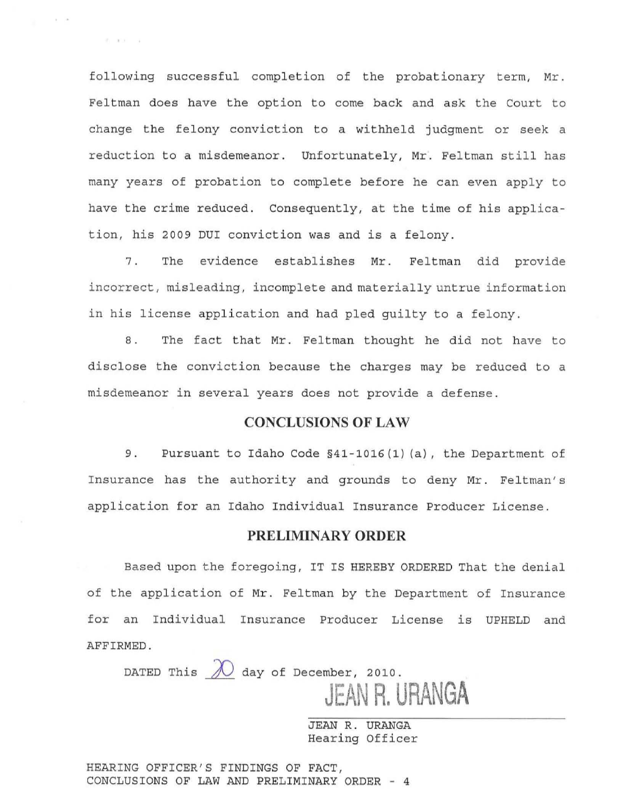following successful completion of the probationary term, Mr. Feltman does have the option to come back and ask the court to change the felony conviction to a withheld judgment or seek a reduction to a misdemeanor. Unfortunately, Mr. Feltman still has many years of probation to complete before he can even apply to have the crime reduced. consequently, at the time of his application, his 2009 DUI conviction was and is a felony.

 $0.11 - 1.1$ 

7. The evidence establishes Mr. Feltman did provide incorrect , misleading, incomplete and materially untrue information in his license application and had pled guilty to a felony .

8. The fact that Mr. Feltman thought he did not have to disclose the conviction because the charges may be reduced to a misdemeanor in several years does not provide a defense.

## **CONCLUSIONS OF LAW**

9. Pursuant to Idaho Code §41-1016(1)(a), the Department of Insurance has the authority and grounds to deny Mr. Feltman's application for an Idaho Individual Insurance Producer License.

### **PRELIMINARY ORDER**

Based upon the foregoing, IT IS HEREBY ORDERED That the denial of the application of Mr. Feltman by the Department of Insurance for an Individual Insurance Producer License is UPHELD and AFFIRMED.

DATED This  $\overline{\mathcal{N}}$  day of December, 2010. **JEAN R. URANGA** 

> JEAN R. URANGA Hearing Officer